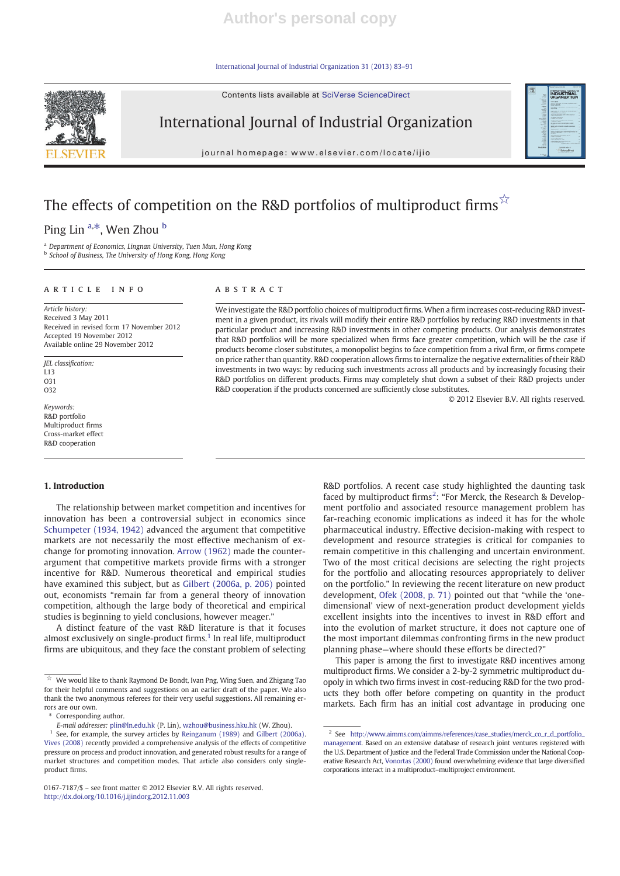International Journal of Industrial Organization 31 (2013) 83–91

Contents lists available at SciVerse ScienceDirect



International Journal of Industrial Organization

journal homepage: www.elsevier.com/locate/ijio

# The effects of competition on the R&D portfolios of multiproduct firms  $\overrightarrow{x}$

## Ping Lin <sup>a,\*</sup>, Wen Zhou <sup>b</sup>

<sup>a</sup> Department of Economics, Lingnan University, Tuen Mun, Hong Kong **b** School of Business, The University of Hong Kong, Hong Kong

#### article info abstract

Article history: Received 3 May 2011 Received in revised form 17 November 2012 Accepted 19 November 2012 Available online 29 November 2012

JEL classification: L13 O31 O32

Keywords: R&D portfolio Multiproduct firms Cross-market effect R&D cooperation

#### 1. Introduction

The relationship between market competition and incentives for innovation has been a controversial subject in economics since Schumpeter (1934, 1942) advanced the argument that competitive markets are not necessarily the most effective mechanism of exchange for promoting innovation. Arrow (1962) made the counterargument that competitive markets provide firms with a stronger incentive for R&D. Numerous theoretical and empirical studies have examined this subject, but as Gilbert (2006a, p. 206) pointed out, economists "remain far from a general theory of innovation competition, although the large body of theoretical and empirical studies is beginning to yield conclusions, however meager."

A distinct feature of the vast R&D literature is that it focuses almost exclusively on single-product firms.<sup>1</sup> In real life, multiproduct firms are ubiquitous, and they face the constant problem of selecting

E-mail addresses: plin@ln.edu.hk (P. Lin), wzhou@business.hku.hk (W. Zhou).

We investigate the R&D portfolio choices of multiproduct firms.When a firm increases cost-reducing R&D investment in a given product, its rivals will modify their entire R&D portfolios by reducing R&D investments in that particular product and increasing R&D investments in other competing products. Our analysis demonstrates that R&D portfolios will be more specialized when firms face greater competition, which will be the case if products become closer substitutes, a monopolist begins to face competition from a rival firm, or firms compete on price rather than quantity. R&D cooperation allows firms to internalize the negative externalities of their R&D investments in two ways: by reducing such investments across all products and by increasingly focusing their R&D portfolios on different products. Firms may completely shut down a subset of their R&D projects under R&D cooperation if the products concerned are sufficiently close substitutes.

© 2012 Elsevier B.V. All rights reserved.

**NDUSTRIAL** 

R&D portfolios. A recent case study highlighted the daunting task faced by multiproduct firms<sup>2</sup>: "For Merck, the Research & Development portfolio and associated resource management problem has far-reaching economic implications as indeed it has for the whole pharmaceutical industry. Effective decision-making with respect to development and resource strategies is critical for companies to remain competitive in this challenging and uncertain environment. Two of the most critical decisions are selecting the right projects for the portfolio and allocating resources appropriately to deliver on the portfolio." In reviewing the recent literature on new product development, Ofek (2008, p. 71) pointed out that "while the 'onedimensional' view of next-generation product development yields excellent insights into the incentives to invest in R&D effort and into the evolution of market structure, it does not capture one of the most important dilemmas confronting firms in the new product planning phase—where should these efforts be directed?"

This paper is among the first to investigate R&D incentives among multiproduct firms. We consider a 2-by-2 symmetric multiproduct duopoly in which two firms invest in cost-reducing R&D for the two products they both offer before competing on quantity in the product markets. Each firm has an initial cost advantage in producing one

 $\overline{\mathcal{A}}$  We would like to thank Raymond De Bondt, Ivan Png, Wing Suen, and Zhigang Tao for their helpful comments and suggestions on an earlier draft of the paper. We also thank the two anonymous referees for their very useful suggestions. All remaining errors are our own.

Corresponding author.

<sup>&</sup>lt;sup>1</sup> See, for example, the survey articles by Reinganum (1989) and Gilbert (2006a). Vives (2008) recently provided a comprehensive analysis of the effects of competitive pressure on process and product innovation, and generated robust results for a range of market structures and competition modes. That article also considers only singleproduct firms.

<sup>0167-7187/\$</sup> – see front matter © 2012 Elsevier B.V. All rights reserved. http://dx.doi.org/10.1016/j.ijindorg.2012.11.003

<sup>&</sup>lt;sup>2</sup> See http://www.aimms.com/aimms/references/case\_studies/merck\_co\_r\_d\_portfolio\_ management. Based on an extensive database of research joint ventures registered with the U.S. Department of Justice and the Federal Trade Commission under the National Cooperative Research Act, Vonortas (2000) found overwhelming evidence that large diversified corporations interact in a multiproduct–multiproject environment.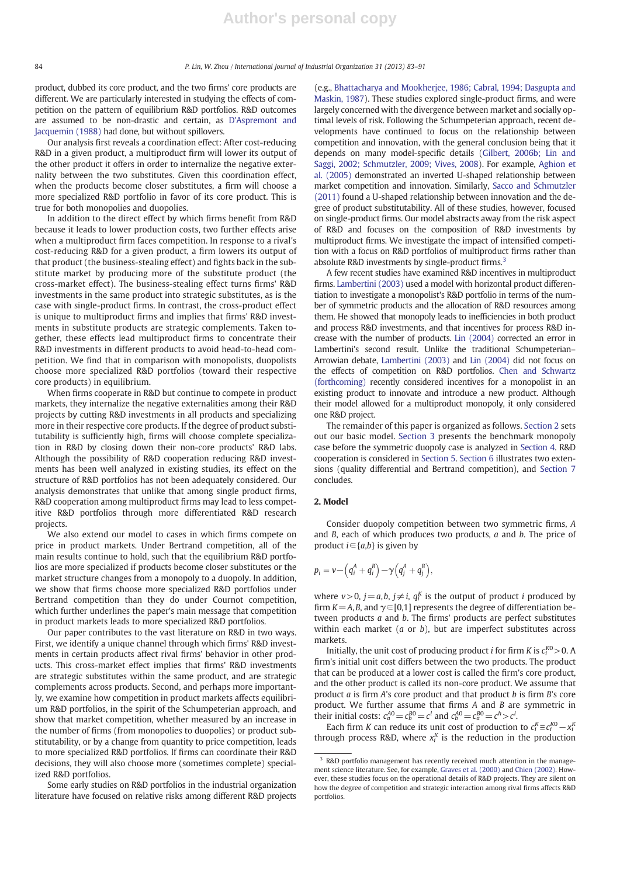product, dubbed its core product, and the two firms' core products are different. We are particularly interested in studying the effects of competition on the pattern of equilibrium R&D portfolios. R&D outcomes are assumed to be non-drastic and certain, as D'Aspremont and Jacquemin (1988) had done, but without spillovers.

Our analysis first reveals a coordination effect: After cost-reducing R&D in a given product, a multiproduct firm will lower its output of the other product it offers in order to internalize the negative externality between the two substitutes. Given this coordination effect, when the products become closer substitutes, a firm will choose a more specialized R&D portfolio in favor of its core product. This is true for both monopolies and duopolies.

In addition to the direct effect by which firms benefit from R&D because it leads to lower production costs, two further effects arise when a multiproduct firm faces competition. In response to a rival's cost-reducing R&D for a given product, a firm lowers its output of that product (the business-stealing effect) and fights back in the substitute market by producing more of the substitute product (the cross-market effect). The business-stealing effect turns firms' R&D investments in the same product into strategic substitutes, as is the case with single-product firms. In contrast, the cross-product effect is unique to multiproduct firms and implies that firms' R&D investments in substitute products are strategic complements. Taken together, these effects lead multiproduct firms to concentrate their R&D investments in different products to avoid head-to-head competition. We find that in comparison with monopolists, duopolists choose more specialized R&D portfolios (toward their respective core products) in equilibrium.

When firms cooperate in R&D but continue to compete in product markets, they internalize the negative externalities among their R&D projects by cutting R&D investments in all products and specializing more in their respective core products. If the degree of product substitutability is sufficiently high, firms will choose complete specialization in R&D by closing down their non-core products' R&D labs. Although the possibility of R&D cooperation reducing R&D investments has been well analyzed in existing studies, its effect on the structure of R&D portfolios has not been adequately considered. Our analysis demonstrates that unlike that among single product firms, R&D cooperation among multiproduct firms may lead to less competitive R&D portfolios through more differentiated R&D research projects.

We also extend our model to cases in which firms compete on price in product markets. Under Bertrand competition, all of the main results continue to hold, such that the equilibrium R&D portfolios are more specialized if products become closer substitutes or the market structure changes from a monopoly to a duopoly. In addition, we show that firms choose more specialized R&D portfolios under Bertrand competition than they do under Cournot competition, which further underlines the paper's main message that competition in product markets leads to more specialized R&D portfolios.

Our paper contributes to the vast literature on R&D in two ways. First, we identify a unique channel through which firms' R&D investments in certain products affect rival firms' behavior in other products. This cross-market effect implies that firms' R&D investments are strategic substitutes within the same product, and are strategic complements across products. Second, and perhaps more importantly, we examine how competition in product markets affects equilibrium R&D portfolios, in the spirit of the Schumpeterian approach, and show that market competition, whether measured by an increase in the number of firms (from monopolies to duopolies) or product substitutability, or by a change from quantity to price competition, leads to more specialized R&D portfolios. If firms can coordinate their R&D decisions, they will also choose more (sometimes complete) specialized R&D portfolios.

Some early studies on R&D portfolios in the industrial organization literature have focused on relative risks among different R&D projects (e.g., Bhattacharya and Mookherjee, 1986; Cabral, 1994; Dasgupta and Maskin, 1987). These studies explored single-product firms, and were largely concerned with the divergence between market and socially optimal levels of risk. Following the Schumpeterian approach, recent developments have continued to focus on the relationship between competition and innovation, with the general conclusion being that it depends on many model-specific details (Gilbert, 2006b; Lin and Saggi, 2002; Schmutzler, 2009; Vives, 2008). For example, Aghion et al. (2005) demonstrated an inverted U-shaped relationship between market competition and innovation. Similarly, Sacco and Schmutzler (2011) found a U-shaped relationship between innovation and the degree of product substitutability. All of these studies, however, focused on single-product firms. Our model abstracts away from the risk aspect of R&D and focuses on the composition of R&D investments by multiproduct firms. We investigate the impact of intensified competition with a focus on R&D portfolios of multiproduct firms rather than absolute R&D investments by single-product firms.<sup>3</sup>

A few recent studies have examined R&D incentives in multiproduct firms. Lambertini (2003) used a model with horizontal product differentiation to investigate a monopolist's R&D portfolio in terms of the number of symmetric products and the allocation of R&D resources among them. He showed that monopoly leads to inefficiencies in both product and process R&D investments, and that incentives for process R&D increase with the number of products. Lin (2004) corrected an error in Lambertini's second result. Unlike the traditional Schumpeterian– Arrowian debate, Lambertini (2003) and Lin (2004) did not focus on the effects of competition on R&D portfolios. Chen and Schwartz (forthcoming) recently considered incentives for a monopolist in an existing product to innovate and introduce a new product. Although their model allowed for a multiproduct monopoly, it only considered one R&D project.

The remainder of this paper is organized as follows. Section 2 sets out our basic model. Section 3 presents the benchmark monopoly case before the symmetric duopoly case is analyzed in Section 4. R&D cooperation is considered in Section 5. Section 6 illustrates two extensions (quality differential and Bertrand competition), and Section 7 concludes.

#### 2. Model

Consider duopoly competition between two symmetric firms, A and B, each of which produces two products, a and b. The price of product  $i \in \{a,b\}$  is given by

$$
p_i = v - \left(q_i^A + q_i^B\right) - \gamma \left(q_j^A + q_j^B\right),
$$

where  $v > 0$ ,  $j = a$ ,  $b$ ,  $j \neq i$ ,  $q_i^K$  is the output of product *i* produced by firm  $K=A, B$ , and  $\gamma \in [0,1]$  represents the degree of differentiation between products  $a$  and  $b$ . The firms' products are perfect substitutes within each market ( $a$  or  $b$ ), but are imperfect substitutes across markets.

Initially, the unit cost of producing product *i* for firm *K* is  $c_i^{K0} > 0$ . A firm's initial unit cost differs between the two products. The product that can be produced at a lower cost is called the firm's core product, and the other product is called its non-core product. We assume that product  $a$  is firm A's core product and that product  $b$  is firm B's core product. We further assume that firms A and B are symmetric in their initial costs:  $c_a^{A0} = c_b^{B0} = c^l$  and  $c_b^{A0} = c_a^{B0} = c^h > c^l$ .

Each firm *K* can reduce its unit cost of production to  $c_i^K \equiv c_i^{KO} - x_i^K$ through process R&D, where  $x_i^K$  is the reduction in the production

<sup>&</sup>lt;sup>3</sup> R&D portfolio management has recently received much attention in the management science literature. See, for example, Graves et al. (2000) and Chien (2002). However, these studies focus on the operational details of R&D projects. They are silent on how the degree of competition and strategic interaction among rival firms affects R&D portfolios.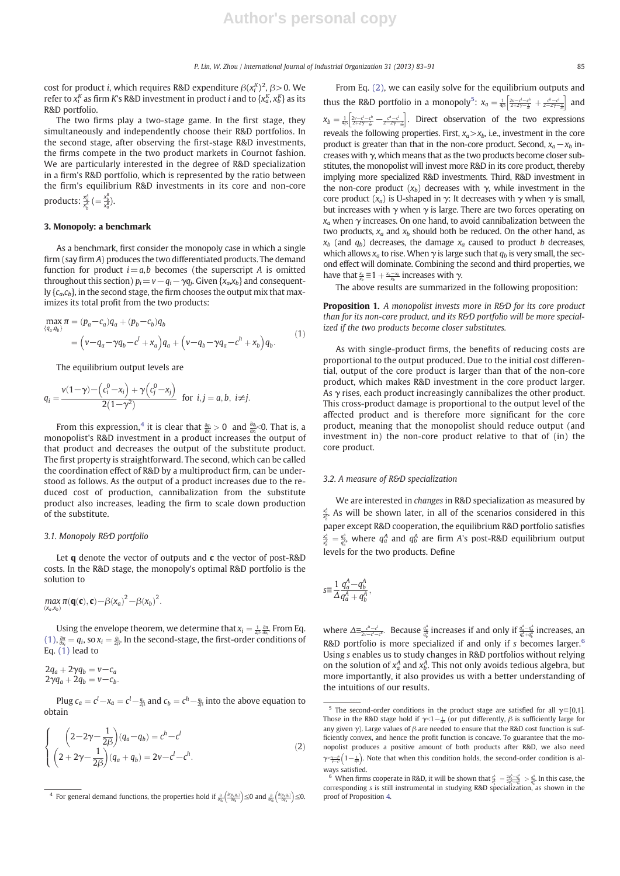cost for product *i*, which requires R&D expenditure  $\beta(x_i^K)^2$ ,  $\beta > 0$ . We refer to  $x_i^K$  as firm K's R&D investment in product  $i$  and to  $\{x_a^K, x_b^K\}$  as its R&D portfolio.

The two firms play a two-stage game. In the first stage, they simultaneously and independently choose their R&D portfolios. In the second stage, after observing the first-stage R&D investments, the firms compete in the two product markets in Cournot fashion. We are particularly interested in the degree of R&D specialization in a firm's R&D portfolio, which is represented by the ratio between the firm's equilibrium R&D investments in its core and non-core products:  $\frac{x_a^A}{x_b^A}$  ( $= \frac{x_b^B}{x_a^B}$ ).

#### 3. Monopoly: a benchmark

b

As a benchmark, first consider the monopoly case in which a single firm (say firm A) produces the two differentiated products. The demand function for product  $i=a,b$  becomes (the superscript A is omitted throughout this section)  $p_i = v - q_i - \gamma q_i$ . Given { $x_a$ , $x_b$ } and consequently  ${c_a c_b}$ , in the second stage, the firm chooses the output mix that maximizes its total profit from the two products:

$$
\max_{\{q_a, q_b\}} \pi = (p_a - c_a)q_a + (p_b - c_b)q_b
$$
\n
$$
= (\nu - q_a - \gamma q_b - c^l + x_a)q_a + (\nu - q_b - \gamma q_a - c^h + x_b)q_b.
$$
\n(1)

The equilibrium output levels are

$$
q_i = \frac{v(1-\gamma) - (c_i^0 - x_i) + \gamma (c_j^0 - x_j)}{2(1-\gamma^2)}
$$
 for  $i, j = a, b, i \neq j$ .

From this expression,<sup>4</sup> it is clear that  $\frac{\partial q_i}{\partial x_i} > 0$  and  $\frac{\partial q_j}{\partial x_i} < 0$ . That is, a monopolist's R&D investment in a product increases the output of that product and decreases the output of the substitute product. The first property is straightforward. The second, which can be called the coordination effect of R&D by a multiproduct firm, can be understood as follows. As the output of a product increases due to the reduced cost of production, cannibalization from the substitute product also increases, leading the firm to scale down production of the substitute.

#### 3.1. Monopoly R&D portfolio

Let  $q$  denote the vector of outputs and  $c$  the vector of post-R&D costs. In the R&D stage, the monopoly's optimal R&D portfolio is the solution to

$$
\max_{(x_a,x_b)} \pi(\mathbf{q}(\mathbf{c}),\mathbf{c}) - \beta(x_a)^2 - \beta(x_b)^2.
$$

Using the envelope theorem, we determine that  $x_i = \frac{1}{2\beta} \frac{\partial \pi}{\partial x_i}$ . From Eq.  $(1), \frac{\partial \pi}{\partial x_i} = q_i$ , so  $x_i = \frac{q_i}{2\beta}$ . In the second-stage, the first-order conditions of Eq.  $(1)$  lead to

$$
2q_a + 2\gamma q_b = v - c_a
$$
  

$$
2\gamma q_a + 2q_b = v - c_b.
$$

Plug  $c_a = c^l - x_a = c^l - \frac{q_a}{2\beta}$  and  $c_b = c^h - \frac{q_b}{2\beta}$  into the above equation to obtain

$$
\begin{cases}\n\left(2-2\gamma-\frac{1}{2\beta}\right)(q_a-q_b) = c^h - c^l \\
\left(2+2\gamma-\frac{1}{2\beta}\right)(q_a+q_b) = 2\nu - c^l - c^h.\n\end{cases}
$$
\n(2)

From Eq. (2), we can easily solve for the equilibrium outputs and thus the R&D portfolio in a monopoly<sup>5</sup>:  $x_a = \frac{1}{4\beta} \left[ \frac{2y-c^i-c^b}{2+2\gamma-\frac{1}{2b}} + \frac{c^b-c^i}{2-2\gamma-\frac{1}{2b}} \right]$  and  $x_b = \frac{1}{4\beta} \left[ \frac{2y-c^l-c^b}{2+2\gamma-\frac{l}{2\beta}} - \frac{c^b-c^l}{2-2\gamma-\frac{l}{2\beta}} \right]$ . Direct observation of the two expressions reveals the following properties. First,  $x_a > x_b$ , i.e., investment in the core product is greater than that in the non-core product. Second,  $x_a - x_b$  increases with γ, which means that as the two products become closer substitutes, the monopolist will invest more R&D in its core product, thereby implying more specialized R&D investments. Third, R&D investment in the non-core product  $(x_b)$  decreases with γ, while investment in the core product ( $x_a$ ) is U-shaped in  $\gamma$ : It decreases with  $\gamma$  when  $\gamma$  is small, but increases with  $\gamma$  when  $\gamma$  is large. There are two forces operating on  $x_a$  when  $\gamma$  increases. On one hand, to avoid cannibalization between the two products,  $x_a$  and  $x_b$  should both be reduced. On the other hand, as  $x_b$  (and  $q_b$ ) decreases, the damage  $x_a$  caused to product *b* decreases, which allows  $x_a$  to rise. When  $\gamma$  is large such that  $q_b$  is very small, the second effect will dominate. Combining the second and third properties, we have that  $\frac{x_a}{x_b} = 1 + \frac{x_a - x_b}{x_b}$  increases with γ.

The above results are summarized in the following proposition:

**Proposition 1.** A monopolist invests more in R&D for its core product than for its non-core product, and its R&D portfolio will be more specialized if the two products become closer substitutes.

As with single-product firms, the benefits of reducing costs are proportional to the output produced. Due to the initial cost differential, output of the core product is larger than that of the non-core product, which makes R&D investment in the core product larger. As  $\gamma$  rises, each product increasingly cannibalizes the other product. This cross-product damage is proportional to the output level of the affected product and is therefore more significant for the core product, meaning that the monopolist should reduce output (and investment in) the non-core product relative to that of (in) the core product.

#### 3.2. A measure of R&D specialization

We are interested in changes in R&D specialization as measured by  $\frac{x_0^4}{x_0^4}$ . As will be shown later, in all of the scenarios considered in this b paper except R&D cooperation, the equilibrium R&D portfolio satisfies  $\frac{x_1^A}{x_2^A} = \frac{q_1^A}{q_2^A}$ , where  $q_a^A$  and  $q_b^A$  are firm A's post-R&D equilibrium output levels for the two products. Define

$$
s \equiv \frac{1}{\Delta} \frac{q_a^A - q_b^A}{q_a^A + q_b^A},
$$

where  $\Delta \equiv \frac{c^h - c^l}{2v - c^l - c^h}$ . Because  $\frac{q_a^A}{q_b^A}$  increases if and only if  $\frac{q_a^A - q_b^A}{q_a^A + q_b^h}$  increases, an R&D portfolio is more specialized if and only if s becomes larger.<sup>6</sup> Using s enables us to study changes in R&D portfolios without relying on the solution of  $x_a^A$  and  $x_b^A$ . This not only avoids tedious algebra, but more importantly, it also provides us with a better understanding of the intuitions of our results.

<sup>&</sup>lt;sup>4</sup> For general demand functions, the properties hold if  $\frac{\partial}{\partial q_a} \left( \frac{\partial (p_a q_a)}{\partial q_b} \right) \leq 0$  and  $\frac{\partial}{\partial q_b} \left( \frac{\partial (p_b q_b)}{\partial q_a} \right) \leq 0$ .

<sup>&</sup>lt;sup>5</sup> The second-order conditions in the product stage are satisfied for all  $\gamma \in [0,1]$ . Those in the R&D stage hold if  $\gamma$ <1 $-\frac{1}{4\beta}$  (or put differently,  $\beta$  is sufficiently large for any given  $\gamma$ ). Large values of  $\beta$  are needed to ensure that the R&D cost function is sufficiently convex, and hence the profit function is concave. To guarantee that the monopolist produces a positive amount of both products after R&D, we also need  $\gamma<\frac{\nu-c^h}{\nu-c'}\left(1-\frac{1}{4\beta}\right)$ . Note that when this condition holds, the second-order condition is always satisfied.

<sup>&</sup>lt;sup>6</sup> When firms cooperate in R&D, it will be shown that  $\frac{x_1}{2} = \frac{2q_a^2 - q_b^2}{2q_a^2 - q_a^2} > \frac{q_a^4}{2q_a^2}$ . In this case, the corresponding s is still instrumental in studying R&D specialization, as shown in the proof of Proposition 4.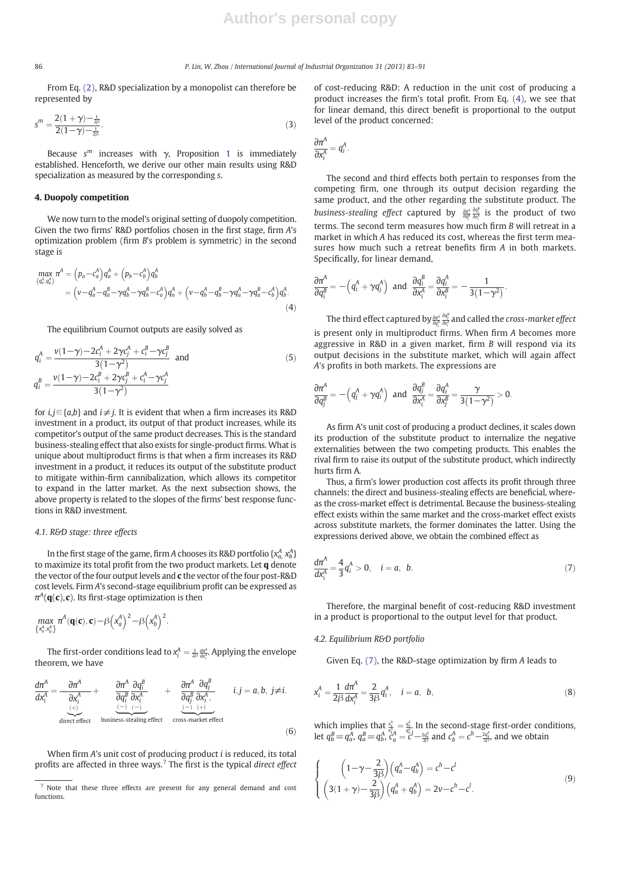#### 86 P. Lin, W. Zhou / International Journal of Industrial Organization 31 (2013) 83–91

From Eq. (2), R&D specialization by a monopolist can therefore be represented by

$$
s^{m} = \frac{2(1+\gamma)-\frac{1}{2\beta}}{2(1-\gamma)-\frac{1}{2\beta}}.\tag{3}
$$

Because  $s^m$  increases with  $\gamma$ , Proposition 1 is immediately established. Henceforth, we derive our other main results using R&D specialization as measured by the corresponding s.

#### 4. Duopoly competition

We now turn to the model's original setting of duopoly competition. Given the two firms' R&D portfolios chosen in the first stage, firm A's optimization problem (firm B's problem is symmetric) in the second stage is

$$
\begin{split} \max_{(q_a^A, q_b^A)} \pi^A &= \left(p_a - c_a^A\right) q_a^A + \left(p_b - c_b^A\right) q_b^A \\ &= \left(\nu - q_a^A - q_a^B - \gamma q_b^A - \gamma q_b^B - c_a^A\right) q_a^A + \left(\nu - q_b^A - q_b^B - \gamma q_a^A - \gamma q_a^B - c_b^A\right) q_b^A. \end{split} \tag{4}
$$

The equilibrium Cournot outputs are easily solved as

$$
q_i^A = \frac{v(1-\gamma) - 2c_i^A + 2\gamma c_j^A + c_i^B - \gamma c_j^B}{3(1-\gamma^2)}
$$
 and  

$$
q_i^B = \frac{v(1-\gamma) - 2c_i^B + 2\gamma c_j^B + c_i^A - \gamma c_j^A}{3(1-\gamma^2)}
$$
 (5)

for *i*,*j*∈{*a*,*b*} and *i*  $\neq$ *j*. It is evident that when a firm increases its R&D investment in a product, its output of that product increases, while its competitor's output of the same product decreases. This is the standard business-stealing effect that also exists for single-product firms. What is unique about multiproduct firms is that when a firm increases its R&D investment in a product, it reduces its output of the substitute product to mitigate within-firm cannibalization, which allows its competitor to expand in the latter market. As the next subsection shows, the above property is related to the slopes of the firms' best response functions in R&D investment.

#### 4.1. R&D stage: three effects

In the first stage of the game, firm A chooses its R&D portfolio  $\{x^A_a, x^A_b\}$ to maximize its total profit from the two product markets. Let q denote the vector of the four output levels and c the vector of the four post-R&D cost levels. Firm A's second-stage equilibrium profit can be expressed as  $\pi^A({\bf q}({\bf c}),{\bf c})$ . Its first-stage optimization is then

$$
\max_{\left\{\mathbf{x}_a^A,\mathbf{x}_b^A\right\}} \pi^A(\mathbf{q}(\mathbf{c}),\mathbf{c}) - \beta \left(\mathbf{x}_a^A\right)^2 - \beta \left(\mathbf{x}_b^A\right)^2.
$$

The first-order conditions lead to  $x_i^A = \frac{1}{2\beta} \frac{d\pi^A}{dx_i^A}$ . Applying the envelope theorem, we have

$$
\frac{d\pi^{A}}{dx_{i}^{A}} = \frac{\partial \pi^{A}}{\partial x_{i}^{A}} + \frac{\partial \pi^{A}}{\partial q_{i}^{B}} \frac{\partial q_{i}^{B}}{\partial x_{i}^{A}} + \frac{\partial \pi^{A}}{\partial q_{j}^{B}} \frac{\partial q_{j}^{B}}{\partial x_{i}^{A}}, i, j = a, b, j \neq i.
$$
\n
$$
\underbrace{\xrightarrow{(+)}}_{\text{direct effect}} \text{business-stcaling effect} \quad \underset{\text{cross-market effect}}{\text{cross-market effect}} \tag{6}
$$

When firm A's unit cost of producing product *i* is reduced, its total profits are affected in three ways.<sup>7</sup> The first is the typical direct effect of cost-reducing R&D: A reduction in the unit cost of producing a product increases the firm's total profit. From Eq. (4), we see that for linear demand, this direct benefit is proportional to the output level of the product concerned:

$$
\frac{\partial \pi^A}{\partial x_i^A} = q_i^A.
$$

The second and third effects both pertain to responses from the competing firm, one through its output decision regarding the same product, and the other regarding the substitute product. The *business-stealing effect* captured by  $\frac{\partial \pi^A}{\partial q_i^B} \frac{\partial q_i^B}{\partial x_i^A}$  is the product of two terms. The second term measures how much firm B will retreat in a market in which A has reduced its cost, whereas the first term measures how much such a retreat benefits firm A in both markets. Specifically, for linear demand,

$$
\frac{\partial \pi^A}{\partial q_i^B} = -\left(q_i^A + \gamma q_j^A\right) \text{ and } \frac{\partial q_i^B}{\partial x_i^A} = \frac{\partial q_i^A}{\partial x_i^B} = -\frac{1}{3(1-\gamma^2)}.
$$

The third effect captured by $\frac{\partial m^{\prime}}{\partial q^i_j}$  $\frac{\partial q^{\scriptscriptstyle B}_j}{\partial x^{\scriptscriptstyle A}_i}$  and called the cross-market effect is present only in multiproduct firms. When firm A becomes more aggressive in R&D in a given market, firm B will respond via its output decisions in the substitute market, which will again affect A's profits in both markets. The expressions are

$$
\frac{\partial \pi^A}{\partial q_j^B} = -\left(q_j^A + \gamma q_i^A\right) \text{ and } \frac{\partial q_j^B}{\partial x_i^A} = \frac{\partial q_i^A}{\partial x_j^B} = \frac{\gamma}{3(1-\gamma^2)} > 0.
$$

As firm A's unit cost of producing a product declines, it scales down its production of the substitute product to internalize the negative externalities between the two competing products. This enables the rival firm to raise its output of the substitute product, which indirectly hurts firm A.

Thus, a firm's lower production cost affects its profit through three channels: the direct and business-stealing effects are beneficial, whereas the cross-market effect is detrimental. Because the business-stealing effect exists within the same market and the cross-market effect exists across substitute markets, the former dominates the latter. Using the expressions derived above, we obtain the combined effect as

$$
\frac{d\pi^A}{dx_i^A} = \frac{4}{3}q_i^A > 0, \quad i = a, \ b.
$$
 (7)

Therefore, the marginal benefit of cost-reducing R&D investment in a product is proportional to the output level for that product.

#### 4.2. Equilibrium R&D portfolio

Given Eq. (7), the R&D-stage optimization by firm A leads to

$$
x_i^A = \frac{1}{2\beta} \frac{d\pi^A}{dx_i^A} = \frac{2}{3\beta} q_i^A, \quad i = a, b,
$$
\n(8)

which implies that  $\frac{x_1^4}{x_2^4} = \frac{q_1^4}{q_2^4}$ . In the second-stage first-order conditions, let  $q_b^B = q_a^A$ ,  $q_a^B = q_b^A$ ,  $c_a^A = c^A - \frac{2q_a^A}{3\beta}$  and  $c_b^A = c^A - \frac{2q_b^A}{3\beta}$ , and we obtain

$$
\begin{cases}\n\left(1-\gamma-\frac{2}{3\beta}\right)\left(q_a^A-q_b^A\right)=c^h-c^l\\
\left(3(1+\gamma)-\frac{2}{3\beta}\right)\left(q_a^A+q_b^A\right)=2\nu-c^h-c^l.\n\end{cases}
$$
\n(9)

 $<sup>7</sup>$  Note that these three effects are present for any general demand and cost</sup> functions.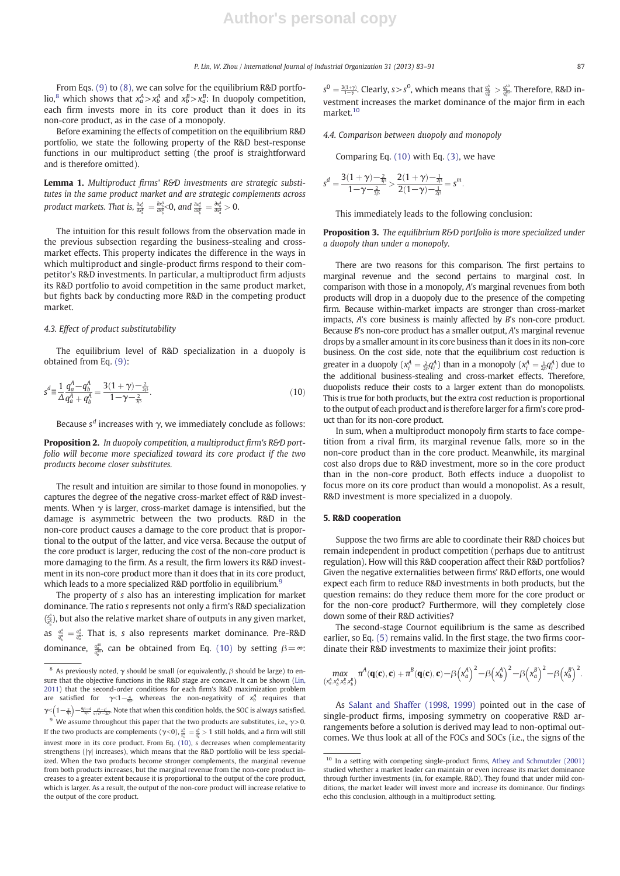From Eqs. (9) to (8), we can solve for the equilibrium R&D portfolio,<sup>8</sup> which shows that  $x_a^A > x_b^A$  and  $x_b^B > x_a^B$ : In duopoly competition, each firm invests more in its core product than it does in its non-core product, as in the case of a monopoly.

Before examining the effects of competition on the equilibrium R&D portfolio, we state the following property of the R&D best-response functions in our multiproduct setting (the proof is straightforward and is therefore omitted).

Lemma 1. Multiproduct firms' R&D investments are strategic substitutes in the same product market and are strategic complements across product markets. That is,  $\frac{\partial x_a^4}{\partial x_a^8}=\frac{\partial x_b^4}{\partial x_b^8}$ <0, and  $\frac{\partial x_a^4}{\partial x_b^8}=\frac{\partial x_b^4}{\partial x_a^8}>0.$ 

The intuition for this result follows from the observation made in the previous subsection regarding the business-stealing and crossmarket effects. This property indicates the difference in the ways in which multiproduct and single-product firms respond to their competitor's R&D investments. In particular, a multiproduct firm adjusts its R&D portfolio to avoid competition in the same product market, but fights back by conducting more R&D in the competing product market.

#### 4.3. Effect of product substitutability

The equilibrium level of R&D specialization in a duopoly is obtained from Eq. (9):

$$
s^{d} \equiv \frac{1}{\Delta} \frac{q_a^A - q_b^A}{q_a^A + q_b^A} = \frac{3(1+\gamma) - \frac{2}{3\beta}}{1 - \gamma - \frac{2}{3\beta}}.
$$
\n(10)

Because  $s^d$  increases with  $\gamma$ , we immediately conclude as follows:

Proposition 2. In duopoly competition, a multiproduct firm's R&D portfolio will become more specialized toward its core product if the two products become closer substitutes.

The result and intuition are similar to those found in monopolies.  $\gamma$ captures the degree of the negative cross-market effect of R&D investments. When  $\gamma$  is larger, cross-market damage is intensified, but the damage is asymmetric between the two products. R&D in the non-core product causes a damage to the core product that is proportional to the output of the latter, and vice versa. Because the output of the core product is larger, reducing the cost of the non-core product is more damaging to the firm. As a result, the firm lowers its R&D investment in its non-core product more than it does that in its core product, which leads to a more specialized R&D portfolio in equilibrium.<sup>9</sup>

The property of s also has an interesting implication for market dominance. The ratio s represents not only a firm's R&D specialization  $(\frac{\chi_0^4}{\chi_0^4})$ , but also the relative market share of outputs in any given market, as  $\frac{q_a^4}{q_b^2} = \frac{q_a^4}{q_a^2}$ . That is, s also represents market dominance. Pre-R&D dominance,  $\frac{q_a^{a_0}}{q_b^{a_0}}$ , can be obtained from Eq. (10) by setting  $\beta \!=\! \infty$ :

 $s^0 = \frac{3(1+\gamma)}{1-\gamma}$ . Clearly,  $s > s^0$ , which means that  $\frac{q_a^4}{q_a^B}$  and  $\frac{q_a^{40}}{q_a^{40}}$ . Therefore, R&D investment increases the market dominance of the major firm in each market.<sup>10</sup>

4.4. Comparison between duopoly and monopoly

Comparing Eq. (10) with Eq. (3), we have

$$
s^d = \frac{3(1+\gamma)-\frac{2}{3\beta}}{1-\gamma-\frac{2}{3\beta}} > \frac{2(1+\gamma)-\frac{1}{2\beta}}{2(1-\gamma)-\frac{1}{2\beta}} = s^m.
$$

This immediately leads to the following conclusion:

Proposition 3. The equilibrium R&D portfolio is more specialized under a duopoly than under a monopoly.

There are two reasons for this comparison. The first pertains to marginal revenue and the second pertains to marginal cost. In comparison with those in a monopoly, A's marginal revenues from both products will drop in a duopoly due to the presence of the competing firm. Because within-market impacts are stronger than cross-market impacts, A's core business is mainly affected by B's non-core product. Because B's non-core product has a smaller output, A's marginal revenue drops by a smaller amount in its core business than it does in its non-core business. On the cost side, note that the equilibrium cost reduction is greater in a duopoly  $(x_i^A = \frac{2}{3\beta}q_i^A)$  than in a monopoly  $(x_i^A = \frac{1}{2\beta}q_i^A)$  due to the additional business-stealing and cross-market effects. Therefore, duopolists reduce their costs to a larger extent than do monopolists. This is true for both products, but the extra cost reduction is proportional to the output of each product and is therefore larger for a firm's core product than for its non-core product.

In sum, when a multiproduct monopoly firm starts to face competition from a rival firm, its marginal revenue falls, more so in the non-core product than in the core product. Meanwhile, its marginal cost also drops due to R&D investment, more so in the core product than in the non-core product. Both effects induce a duopolist to focus more on its core product than would a monopolist. As a result, R&D investment is more specialized in a duopoly.

#### 5. R&D cooperation

Suppose the two firms are able to coordinate their R&D choices but remain independent in product competition (perhaps due to antitrust regulation). How will this R&D cooperation affect their R&D portfolios? Given the negative externalities between firms' R&D efforts, one would expect each firm to reduce R&D investments in both products, but the question remains: do they reduce them more for the core product or for the non-core product? Furthermore, will they completely close down some of their R&D activities?

The second-stage Cournot equilibrium is the same as described earlier, so Eq. (5) remains valid. In the first stage, the two firms coordinate their R&D investments to maximize their joint profits:

$$
\underset{\left(x^A_{\alpha}, x^A_{b}, x^B_{\alpha}, x^B_{b}\right)}{\text{max}}\pi^A(\textbf{q}(\textbf{c}),\textbf{c})+\pi^B(\textbf{q}(\textbf{c}),\textbf{c})-\beta\Big(x^A_{\alpha}\Big)^2-\beta\Big(x^A_{b}\Big)^2-\beta\Big(x^B_{\alpha}\Big)^2-\beta\Big(x^B_{b}\Big)^2.
$$

As Salant and Shaffer (1998, 1999) pointed out in the case of single-product firms, imposing symmetry on cooperative R&D arrangements before a solution is derived may lead to non-optimal outcomes. We thus look at all of the FOCs and SOCs (i.e., the signs of the

<sup>&</sup>lt;sup>8</sup> As previously noted,  $\gamma$  should be small (or equivalently,  $\beta$  should be large) to ensure that the objective functions in the R&D stage are concave. It can be shown (Lin, 2011) that the second-order conditions for each firm's R&D maximization problem are satisfied for  $\gamma$ <1 $-\frac{4}{9\beta}$ , whereas the non-negativity of  $x_b^A$  requires that  $\gamma < (1-\frac{2}{3\beta})-\frac{9\beta-4}{3\beta}\frac{c^b-c^l}{\gamma+c^b-2c^l}$ . Note that when this condition holds, the SOC is always satisfied. <sup>9</sup> We assume throughout this paper that the two products are substitutes, i.e.,  $\gamma$  > 0. If the two products are complements (γ<0),  $\frac{x_1^4}{x_2^6} = \frac{q_2^4}{q_2^6} > 1$  still holds, and a firm will still b b invest more in its core product. From Eq. (10), s decreases when complementarity strengthens (|γ| increases), which means that the R&D portfolio will be less specialized. When the two products become stronger complements, the marginal revenue from both products increases, but the marginal revenue from the non-core product increases to a greater extent because it is proportional to the output of the core product, which is larger. As a result, the output of the non-core product will increase relative to the output of the core product.

<sup>10</sup> In a setting with competing single-product firms, Athey and Schmutzler (2001) studied whether a market leader can maintain or even increase its market dominance through further investments (in, for example, R&D). They found that under mild conditions, the market leader will invest more and increase its dominance. Our findings echo this conclusion, although in a multiproduct setting.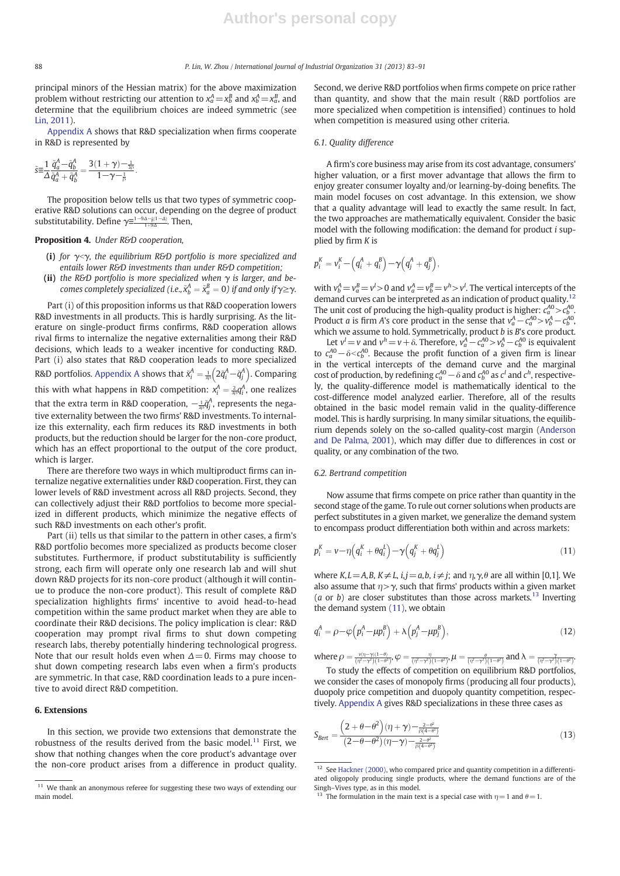principal minors of the Hessian matrix) for the above maximization problem without restricting our attention to  $x_a^A = x_b^B$  and  $x_b^A = x_a^B$ , and determine that the equilibrium choices are indeed symmetric (see Lin, 2011).

Appendix A shows that R&D specialization when firms cooperate in R&D is represented by

$$
\tilde{s} \equiv \frac{1}{\Delta} \frac{\tilde{q}_a^A - \tilde{q}_b^A}{\tilde{q}_a^A + \tilde{q}_b^A} = \frac{3(1+\gamma) - \frac{1}{3\beta}}{1 - \gamma - \frac{1}{\beta}}.
$$

The proposition below tells us that two types of symmetric cooperative R&D solutions can occur, depending on the degree of product substitutability. Define  $\gamma \equiv \frac{1-9\Delta-\frac{1}{2}(1-\Delta)}{1+9\Delta}$ . Then,

#### Proposition 4. Under R&D cooperation,

- (i) for  $\gamma < \gamma$ , the equilibrium R&D portfolio is more specialized and entails lower R&D investments than under R&D competition;
- (ii) the R&D portfolio is more specialized when  $\gamma$  is larger, and becomes completely specialized (i.e.,  $\tilde{x}_{b}^{A} = \tilde{x}_{a}^{B} = 0$ ) if and only if  $\gamma \ge \gamma$ .

Part (i) of this proposition informs us that R&D cooperation lowers R&D investments in all products. This is hardly surprising. As the literature on single-product firms confirms, R&D cooperation allows rival firms to internalize the negative externalities among their R&D decisions, which leads to a weaker incentive for conducting R&D. Part (i) also states that R&D cooperation leads to more specialized R&D portfolios. Appendix A shows that  $\tilde{x}_i^A = \frac{1}{3\beta} \Big( 2\tilde{q}_i^A - \tilde{q}_j^A \Big)$ . Comparing this with what happens in R&D competition:  $x_i^A = \frac{2}{3\beta}q_i^A$ , one realizes that the extra term in R&D cooperation,  $-\frac{1}{3\beta} \widetilde{q}^A_j$ , represents the negative externality between the two firms' R&D investments. To internalize this externality, each firm reduces its R&D investments in both products, but the reduction should be larger for the non-core product, which has an effect proportional to the output of the core product, which is larger.

There are therefore two ways in which multiproduct firms can internalize negative externalities under R&D cooperation. First, they can lower levels of R&D investment across all R&D projects. Second, they can collectively adjust their R&D portfolios to become more specialized in different products, which minimize the negative effects of such R&D investments on each other's profit.

Part (ii) tells us that similar to the pattern in other cases, a firm's R&D portfolio becomes more specialized as products become closer substitutes. Furthermore, if product substitutability is sufficiently strong, each firm will operate only one research lab and will shut down R&D projects for its non-core product (although it will continue to produce the non-core product). This result of complete R&D specialization highlights firms' incentive to avoid head-to-head competition within the same product market when they are able to coordinate their R&D decisions. The policy implication is clear: R&D cooperation may prompt rival firms to shut down competing research labs, thereby potentially hindering technological progress. Note that our result holds even when  $\Delta = 0$ . Firms may choose to shut down competing research labs even when a firm's products are symmetric. In that case, R&D coordination leads to a pure incentive to avoid direct R&D competition.

#### 6. Extensions

In this section, we provide two extensions that demonstrate the robustness of the results derived from the basic model.<sup>11</sup> First, we show that nothing changes when the core product's advantage over the non-core product arises from a difference in product quality. Second, we derive R&D portfolios when firms compete on price rather than quantity, and show that the main result (R&D portfolios are more specialized when competition is intensified) continues to hold when competition is measured using other criteria.

#### 6.1. Quality difference

A firm's core business may arise from its cost advantage, consumers' higher valuation, or a first mover advantage that allows the firm to enjoy greater consumer loyalty and/or learning-by-doing benefits. The main model focuses on cost advantage. In this extension, we show that a quality advantage will lead to exactly the same result. In fact, the two approaches are mathematically equivalent. Consider the basic model with the following modification: the demand for product i supplied by firm K is

$$
p_i^K = v_i^K - \left(q_i^A + q_i^B\right) - \gamma \left(q_j^A + q_j^B\right),
$$

with  $v_b^A = v_a^B = v^1 > 0$  and  $v_a^A = v_b^B = v^h > v^l$ . The vertical intercepts of the demand curves can be interpreted as an indication of product quality.<sup>12</sup> The unit cost of producing the high-quality product is higher:  $c_a^{A0} > c_b^{A0}$ . Product *a* is firm *A*'s core product in the sense that  $v_a^A - c_a^{A0} > v_b^A - c_b^{A0}$ , which we assume to hold. Symmetrically, product *b* is *B*'s core product.

Let  $v^l = v$  and  $v^h = v + \delta$ . Therefore,  $v_a^A - c_a^{A0} > v_b^A - c_b^{A0}$  is equivalent to  $c_a^{A0} - \delta < c_b^{A0}$ . Because the profit function of a given firm is linear in the vertical intercepts of the demand curve and the marginal cost of production, by redefining  $c_a^{A0} - \delta$  and  $c_b^{A0}$  as  $c^l$  and  $c^h$ , respectively, the quality-difference model is mathematically identical to the cost-difference model analyzed earlier. Therefore, all of the results obtained in the basic model remain valid in the quality-difference model. This is hardly surprising. In many similar situations, the equilibrium depends solely on the so-called quality-cost margin (Anderson and De Palma, 2001), which may differ due to differences in cost or quality, or any combination of the two.

#### 6.2. Bertrand competition

Now assume that firms compete on price rather than quantity in the second stage of the game. To rule out corner solutions when products are perfect substitutes in a given market, we generalize the demand system to encompass product differentiation both within and across markets:

$$
p_i^K = \nu - \eta \left( q_i^K + \theta q_i^L \right) - \gamma \left( q_j^K + \theta q_j^L \right) \tag{11}
$$

where K,  $L = A, B, K \neq L$ ,  $i, j = a, b, i \neq j$ ; and  $\eta, \gamma, \theta$  are all within [0,1]. We also assume that  $\eta$  >  $\gamma$ , such that firms' products within a given market  $(a$  or  $b)$  are closer substitutes than those across markets.<sup>13</sup> Inverting the demand system (11), we obtain

$$
q_i^A = \rho - \varphi \left( p_i^A - \mu p_i^B \right) + \lambda \left( p_j^A - \mu p_j^B \right),\tag{12}
$$

where  $\rho = \frac{v(\eta - \gamma)(1-\theta)}{(\eta^2 - \gamma^2)(1-\theta^2)}$ ,  $\varphi = \frac{\gamma}{(\eta^2 - \gamma^2)(1-\theta^2)}$ ,  $\mu = \frac{\gamma}{(\eta^2 - \gamma^2)(1-\theta^2)}$  and  $\lambda = \frac{\gamma}{(\eta^2 - \gamma^2)(1-\theta^2)}$ .

To study the effects of competition on equilibrium R&D portfolios, we consider the cases of monopoly firms (producing all four products), duopoly price competition and duopoly quantity competition, respectively. Appendix A gives R&D specializations in these three cases as

$$
S_{Bert} = \frac{\left(2 + \theta - \theta^2\right)(\eta + \gamma) - \frac{2 - \theta^2}{\beta(4 - \theta^2)}}{\left(2 - \theta - \theta^2\right)(\eta - \gamma) - \frac{2 - \theta^2}{\beta(4 - \theta^2)}}
$$
(13)

 $^{11}\,$  We thank an anonymous referee for suggesting these two ways of extending our main model.

 $12$  See Hackner (2000), who compared price and quantity competition in a differentiated oligopoly producing single products, where the demand functions are of the Singh–Vives type, as in this model.

<sup>&</sup>lt;sup>13</sup> The formulation in the main text is a special case with  $\eta = 1$  and  $\theta = 1$ .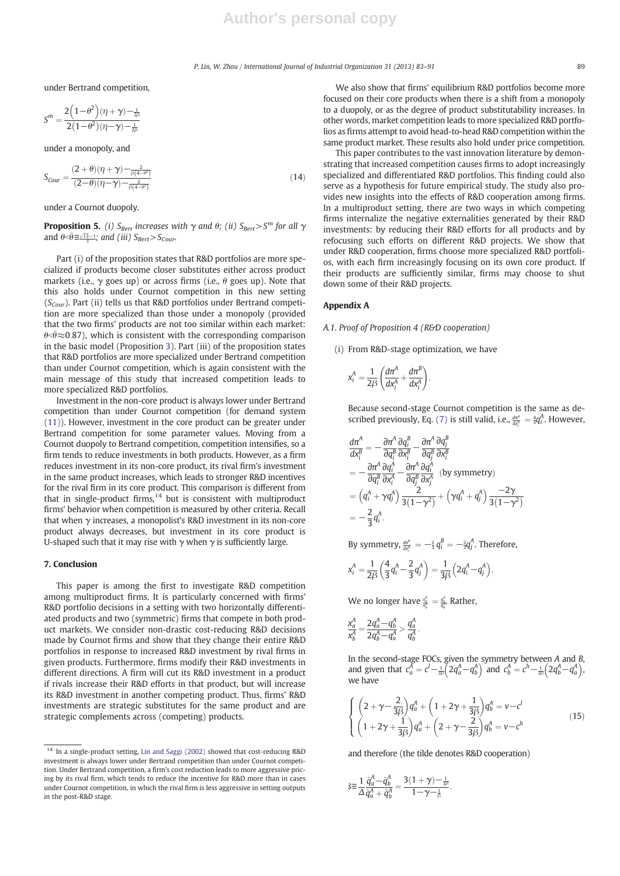P. Lin, W. Zhou / International Journal of Industrial Organization 31 (2013) 83–91 89

under Bertrand competition,

$$
S^m=\frac{2\Big(1\!-\!\theta^2\Big)(\eta+\gamma)\!-\!\tfrac{1}{2\beta^2}}{2\big(1\!-\!\theta^2\big)(\eta\!-\!\gamma)\!-\!\tfrac{1}{2\beta}}
$$

under a monopoly, and

$$
S_{\text{Cour}} = \frac{(2+\theta)(\eta+\gamma) - \frac{2}{\beta(4-\theta^2)}}{(2-\theta)(\eta-\gamma) - \frac{2}{\beta(4-\theta^2)}}\tag{14}
$$

under a Cournot duopoly.

**Proposition 5.** (i) S<sub>Bert</sub> increases with  $\gamma$  and  $\theta$ ; (ii) S<sub>Bert</sub> > S<sup>m</sup> for all  $\gamma$ and  $\theta < \bar{\theta} \equiv \frac{\sqrt{13}-1}{3}$ ; and (iii)  $S_{Bert} > S_{Cour}$ .

Part (i) of the proposition states that R&D portfolios are more specialized if products become closer substitutes either across product markets (i.e.,  $\gamma$  goes up) or across firms (i.e.,  $\theta$  goes up). Note that this also holds under Cournot competition in this new setting ( $S_{\text{Cour}}$ ). Part (ii) tells us that R&D portfolios under Bertrand competition are more specialized than those under a monopoly (provided that the two firms' products are not too similar within each market:  $\theta<\bar{\theta}\approx 0.87$ ), which is consistent with the corresponding comparison in the basic model (Proposition 3). Part (iii) of the proposition states that R&D portfolios are more specialized under Bertrand competition than under Cournot competition, which is again consistent with the main message of this study that increased competition leads to more specialized R&D portfolios.

Investment in the non-core product is always lower under Bertrand competition than under Cournot competition (for demand system (11)). However, investment in the core product can be greater under Bertrand competition for some parameter values. Moving from a Cournot duopoly to Bertrand competition, competition intensifies, so a firm tends to reduce investments in both products. However, as a firm reduces investment in its non-core product, its rival firm's investment in the same product increases, which leads to stronger R&D incentives for the rival firm in its core product. This comparison is different from that in single-product firms, $14$  but is consistent with multiproduct firms' behavior when competition is measured by other criteria. Recall that when  $\gamma$  increases, a monopolist's R&D investment in its non-core product always decreases, but investment in its core product is U-shaped such that it may rise with  $\gamma$  when  $\gamma$  is sufficiently large.

#### 7. Conclusion

This paper is among the first to investigate R&D competition among multiproduct firms. It is particularly concerned with firms' R&D portfolio decisions in a setting with two horizontally differentiated products and two (symmetric) firms that compete in both product markets. We consider non-drastic cost-reducing R&D decisions made by Cournot firms and show that they change their entire R&D portfolios in response to increased R&D investment by rival firms in given products. Furthermore, firms modify their R&D investments in different directions. A firm will cut its R&D investment in a product if rivals increase their R&D efforts in that product, but will increase its R&D investment in another competing product. Thus, firms' R&D investments are strategic substitutes for the same product and are strategic complements across (competing) products.

We also show that firms' equilibrium R&D portfolios become more focused on their core products when there is a shift from a monopoly to a duopoly, or as the degree of product substitutability increases. In other words, market competition leads to more specialized R&D portfolios as firms attempt to avoid head-to-head R&D competition within the same product market. These results also hold under price competition.

This paper contributes to the vast innovation literature by demonstrating that increased competition causes firms to adopt increasingly specialized and differentiated R&D portfolios. This finding could also serve as a hypothesis for future empirical study. The study also provides new insights into the effects of R&D cooperation among firms. In a multiproduct setting, there are two ways in which competing firms internalize the negative externalities generated by their R&D investments: by reducing their R&D efforts for all products and by refocusing such efforts on different R&D projects. We show that under R&D cooperation, firms choose more specialized R&D portfolios, with each firm increasingly focusing on its own core product. If their products are sufficiently similar, firms may choose to shut down some of their R&D projects.

#### Appendix A

A.1. Proof of Proposition 4 (R&D cooperation)

(i) From R&D-stage optimization, we have

$$
x_i^A = \frac{1}{2\beta} \left( \frac{d\pi^A}{dx_i^A} + \frac{d\pi^B}{dx_i^A} \right).
$$

∂q<sup>B</sup>

Because second-stage Cournot competition is the same as described previously, Eq. (7) is still valid, i.e.,  $\frac{d\pi^A}{dx_1^A} = \frac{4}{3}q_1^A$ . However,

$$
\frac{d\pi^A}{dx_i^B} = -\frac{\partial \pi^A}{\partial q_i^B} \frac{\partial q_i^B}{\partial x_i^B} - \frac{\partial \pi^A}{\partial q_j^B} \frac{\partial q_j^B}{\partial x_i^B}
$$
\n
$$
= -\frac{\partial \pi^A}{\partial q_i^B} \frac{\partial q_i^A}{\partial x_i^A} - \frac{\partial \pi^A}{\partial q_j^B} \frac{\partial q_i^A}{\partial x_i^A} \quad \text{(by symmetry)}
$$
\n
$$
= \left( q_i^A + \gamma q_j^A \right) \frac{2}{3(1-\gamma^2)} + \left( \gamma q_i^A + q_j^A \right) \frac{-2\gamma}{3(1-\gamma^2)}
$$
\n
$$
= -\frac{2}{3} q_i^A.
$$

 $\theta$ 

By symmetry,  $\frac{d\pi^B}{dx_i^A} = -\frac{2}{3}q_i^B = -\frac{2}{3}q_j^A$ . Therefore,

$$
x_i^A = \frac{1}{2\beta} \left( \frac{4}{3} q_i^A - \frac{2}{3} q_j^A \right) = \frac{1}{3\beta} \left( 2q_i^A - q_j^A \right).
$$

We no longer have  $\frac{\chi^A_0}{\chi^A_b} = \frac{q_a^A}{q_b^A}$ . Rather,

$$
\frac{x_a^A}{x_b^A} = \frac{2q_a^A - q_b^A}{2q_b^A - q_a^A} > \frac{q_a^A}{q_b^A}.
$$

In the second-stage FOCs, given the symmetry between A and B, and given that  $c_a^{\tilde{A}} = c^l - \frac{1}{3\beta} \left( 2q_a^A - q_b^A \right)$  and  $c_b^A = c^h - \frac{1}{3\beta} \left( 2q_b^A - q_a^A \right)$ . we have

$$
\begin{cases} \left(2+\gamma-\frac{2}{3\beta}\right)q_a^A + \left(1+2\gamma+\frac{1}{3\beta}\right)q_b^A = v - c^I\\ \left(1+2\gamma+\frac{1}{3\beta}\right)q_a^A + \left(2+\gamma-\frac{2}{3\beta}\right)q_b^A = v - c^h \end{cases}
$$
(15)

and therefore (the tilde denotes R&D cooperation)

$$
\tilde{s} \equiv \frac{1}{\Delta} \frac{\tilde{q}_a^A - \tilde{q}_b^A}{\tilde{q}_a^A + \tilde{q}_b^A} = \frac{3(1+\gamma) - \frac{1}{3\beta}}{1 - \gamma - \frac{1}{\beta}}.
$$

<sup>&</sup>lt;sup>14</sup> In a single-product setting, Lin and Saggi (2002) showed that cost-reducing R&D investment is always lower under Bertrand competition than under Cournot competition. Under Bertrand competition, a firm's cost reduction leads to more aggressive pricing by its rival firm, which tends to reduce the incentive for R&D more than in cases under Cournot competition, in which the rival firm is less aggressive in setting outputs in the post-R&D stage.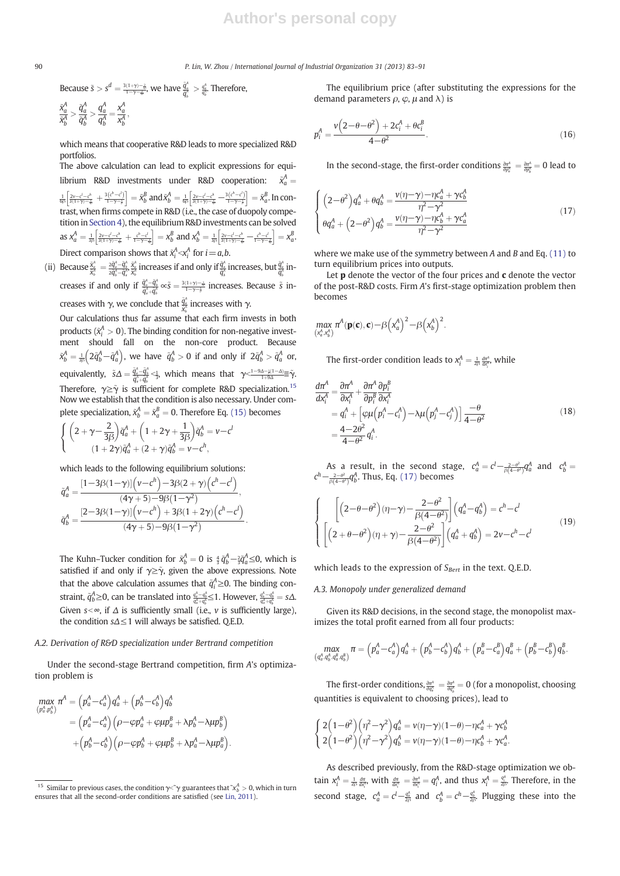90 P. Lin, W. Zhou / International Journal of Industrial Organization 31 (2013) 83–91

Because 
$$
\tilde{s} > s^d = \frac{3(1+\gamma) - \frac{2}{3\alpha}}{1-\gamma - \frac{2}{3\alpha}}
$$
, we have  $\frac{\tilde{q}_a^A}{\tilde{q}_b^A} > \frac{q_a^A}{q_b^A}$ . Therefore,  
\n $\frac{\tilde{x}_a^A}{\tilde{x}_b^A} > \frac{\tilde{q}_a^A}{\tilde{q}_b^A} > \frac{q_a^A}{q_b^A} = \frac{x_a^A}{x_b^A}$ ,

which means that cooperative R&D leads to more specialized R&D portfolios.

The above calculation can lead to explicit expressions for equilibrium R&D investments under R&D cooperation:  $\tilde{x}_a^A =$  $\frac{1}{6\beta} \left[ \frac{2v-c^l-c^h}{3(1+\gamma)-\frac{l}{\gamma h}} + \frac{3(c^b-c^l)}{2-\gamma-\frac{l}{\beta}} \right] = \tilde{\chi}_b^B \text{ and } \tilde{\chi}_b^A = \frac{1}{6\beta} \left[ \frac{2v-c^l-c^h}{3(1+\gamma)-\frac{l}{\gamma h}} - \frac{3(c^b-c^l)}{1-\gamma-\frac{l}{\beta}} \right] = \tilde{\chi}_a^B. \text{ In contrast, } \tilde{\chi}_b^B = \tilde{\chi}_b^B \text{ and } \tilde{\chi}_b^B = \tilde{\chi}_b^B \text{ and } \$ trast, when firms compete in R&D (i.e., the case of duopoly competition in Section 4), the equilibrium R&D investments can be solved as  $x_a^A = \frac{1}{3\beta} \left[ \frac{2v - c^L - c^h}{3(1 + \gamma) - \frac{L}{3b}} + \frac{c^h - c^L}{1 - \gamma - \frac{L}{3b}} \right] = x_b^B$  and  $x_b^A = \frac{1}{3\beta} \left[ \frac{2v - c^L - c^h}{3(1 + \gamma) - \frac{L}{3b}} - \frac{c^h - c^L}{1 - \gamma - \frac{L}{3b}} \right] = x_a^B$ . Direct comparison shows that  $\tilde{x}_i^A < x_i^A$  for  $i = a, b$ .

(ii) Because  $\frac{\tilde{\chi}^4_x}{\tilde{\chi}^4_y} = \frac{2\tilde{q}^4_a - \tilde{q}^4_x}{2\tilde{q}^4_b - \tilde{q}^4_x}$  increases if and only if  $\frac{\tilde{q}^4_a}{\tilde{q}^4_b}$  increases, but  $\frac{\tilde{q}^4_a}{\tilde{q}^4_b}$  increases if and only if  $\frac{\tilde{q}_a^A - \tilde{q}_b^A}{\tilde{q}_a^A + \tilde{q}_b^A} \propto \tilde{S} = \frac{3(1+\gamma)-\frac{1}{4\gamma}}{1-\gamma-\frac{1}{\beta}}$  increases. Because  $\tilde{S}$  increases with γ, we conclude that  $\frac{\tilde{q}_a^A}{\tilde{x}_b^A}$  increases with γ.

b Our calculations thus far assume that each firm invests in both products ( $\tilde{\mathbf{x}}_{i}^{\mathrm{A}}>0$ ). The binding condition for non-negative investment should fall on the non-core product. Because  $\tilde{x}_b^A = \frac{1}{3\beta} \left( 2\tilde{q}_b^A - \tilde{q}_a^A \right)$ , we have  $\tilde{q}_b^A > 0$  if and only if  $2\tilde{q}_b^A > \tilde{q}_a^A$  or, equivalently,  $\tilde{S}\Delta = \frac{\tilde{q}_a^A - \tilde{q}_b^A}{\tilde{q}_a^A + \tilde{q}_b^A} < \frac{1}{3}$ , which means that  $\gamma < \frac{1-9\Delta - \frac{1}{6}(1-\Delta)}{1+9\Delta} = \tilde{\gamma}$ . Therefore,  $\gamma \geq \tilde{\gamma}$  is sufficient for complete R&D specialization.<sup>15</sup> Now we establish that the condition is also necessary. Under complete specialization,  $\tilde{x}_b^A = \tilde{x}_a^B = 0$ . Therefore Eq. (15) becomes

$$
\begin{cases} \left(2+\gamma-\frac{2}{3\beta}\right)\tilde{q}_a^A + \left(1+2\gamma+\frac{1}{3\beta}\right)\tilde{q}_b^A = v-c^d\\ (1+2\gamma)\tilde{q}_a^A + (2+\gamma)\tilde{q}_b^A = v-c^h, \end{cases}
$$

which leads to the following equilibrium solutions:

$$
\tilde{q}_a^A = \frac{\left[1 - 3\beta(1-\gamma)\right]\left(v - c^h\right) - 3\beta(2+\gamma)\left(c^h - c^l\right)}{(4\gamma + 5) - 9\beta(1-\gamma^2)},
$$
\n
$$
\tilde{q}_b^A = \frac{\left[2 - 3\beta(1-\gamma)\right]\left(v - c^h\right) + 3\beta(1+2\gamma)\left(c^h - c^l\right)}{(4\gamma + 5) - 9\beta(1-\gamma^2)}.
$$

The Kuhn–Tucker condition for  $\tilde{x}_b^A = 0$  is  $\frac{4}{3} \tilde{q}_b^A - \frac{2}{3} \tilde{q}_a^A \le 0$ , which is extinged if and only if  $\cos \tilde{x}$ , given the above expressions. Note satisfied if and only if  $\gamma \geq \tilde{\gamma}$ , given the above expressions. Note that the above calculation assumes that  $\tilde{q}_i^A \geq 0$ . The binding constraint,  $\tilde{q}_b^A \ge 0$ , can be translated into  $\frac{q_a^A - q_b^A}{q_a^A + q_b^B} \le 1$ . However,  $\frac{q_a^A - q_b^A}{q_a^A + q_b^B} = s\Delta$ . Given  $s < \infty$ , if  $\Delta$  is sufficiently small (i.e., v is sufficiently large), the condition sΔ≤1 will always be satisfied. Q.E.D.

#### A.2. Derivation of R&D specialization under Bertrand competition

Under the second-stage Bertrand competition, firm A's optimization problem is

$$
\begin{aligned} \max_{(p_a^A,p_b^A)} \pi^A &= \left(p_a^A - c_a^A\right) q_a^A + \left(p_b^A - c_b^A\right) q_b^A \\ &= \left(p_a^A - c_a^A\right) \left(\rho - \varphi p_a^A + \varphi \mu p_a^B + \lambda p_b^A - \lambda \mu p_b^B\right) \\ &+ \left(p_b^A - c_b^A\right) \left(\rho - \varphi p_b^A + \varphi \mu p_b^B + \lambda p_a^A - \lambda \mu p_a^B\right). \end{aligned}
$$

The equilibrium price (after substituting the expressions for the demand parameters  $\rho$ ,  $\varphi$ ,  $\mu$  and  $\lambda$ ) is

$$
p_i^A = \frac{v(2 - \theta - \theta^2) + 2c_i^A + \theta c_i^B}{4 - \theta^2}.
$$
 (16)

In the second-stage, the first-order conditions  $\frac{\partial m^A}{\partial p^A_a} = \frac{\partial m^A}{\partial p^A_b} = 0$  lead to

$$
\begin{cases}\n\left(2-\theta^2\right)q_a^A + \theta q_b^A = \frac{\nu(\eta-\gamma) - \eta c_a^A + \gamma c_b^A}{\eta^2 - \gamma^2} \\
\theta q_a^A + \left(2-\theta^2\right)q_b^A = \frac{\nu(\eta-\gamma) - \eta c_b^A + \gamma c_a^A}{\eta^2 - \gamma^2}\n\end{cases} (17)
$$

where we make use of the symmetry between  $A$  and  $B$  and Eq. (11) to turn equilibrium prices into outputs.

Let  $\mathbf p$  denote the vector of the four prices and  $\mathbf c$  denote the vector of the post-R&D costs. Firm A's first-stage optimization problem then becomes

$$
\max_{\left(x_a^A,x_b^A\right)} \pi^A(\mathbf{p}(\mathbf{c}),\mathbf{c}) - \beta \left(x_a^A\right)^2 - \beta \left(x_b^A\right)^2.
$$

The first-order condition leads to  $x_i^A = \frac{1}{2\beta} \frac{dm^A}{dx_i^A}$ , while

$$
\frac{d\pi^{A}}{dx_{i}^{A}} = \frac{\partial \pi^{A}}{\partial x_{i}^{A}} + \frac{\partial \pi^{A}}{\partial p_{i}^{B}} \frac{\partial p_{i}^{B}}{\partial x_{i}^{A}}
$$
\n
$$
= q_{i}^{A} + \left[\varphi\mu\left(p_{i}^{A} - c_{i}^{A}\right) - \lambda\mu\left(p_{j}^{A} - c_{j}^{A}\right)\right] \frac{-\theta}{4 - \theta^{2}}
$$
\n
$$
= \frac{4 - 2\theta^{2}}{4 - \theta^{2}} q_{i}^{A}. \tag{18}
$$

As a result, in the second stage,  $c_a^A = c^I - \frac{2-\theta^2}{\beta(4-\theta^2)} q_a^A$  and  $c_b^A = c^h - \frac{2-\theta^2}{\beta(4-\theta^2)} q_b^A$ . Thus, Eq. (17) becomes

$$
\begin{cases}\n\left[\left(2-\theta-\theta^2\right)(\eta-\gamma)-\frac{2-\theta^2}{\beta(4-\theta^2)}\right](q_a^A-q_b^A)=c^h-c^l\\ \n\left[\left(2+\theta-\theta^2\right)(\eta+\gamma)-\frac{2-\theta^2}{\beta(4-\theta^2)}\right](q_a^A+q_b^A)=2v-c^h-c^l\n\end{cases}
$$
\n(19)

which leads to the expression of  $S_{Bert}$  in the text. Q.E.D.

#### A.3. Monopoly under generalized demand

Given its R&D decisions, in the second stage, the monopolist maximizes the total profit earned from all four products:

$$
\max_{(q_a^A, q_b^A, q_a^B, q_b^B)} \pi = (p_a^A - c_a^A) q_a^A + (p_b^A - c_b^A) q_b^A + (p_a^B - c_a^B) q_a^B + (p_b^B - c_b^B) q_b^B
$$

The first-order conditions,  $\frac{\partial m^A}{\partial q^A_{\alpha}} = \frac{\partial m^A}{\partial q^A_{\alpha}} = 0$  (for a monopolist, choosing quantities is equivalent to choosing prices), lead to

$$
\label{eq:zeta} \begin{cases} 2\Big(1-\theta^2\Big)\Big(\eta^2-\gamma^2\Big)q_a^A = v(\eta-\gamma)(1-\theta)-\eta c_a^A + \gamma c_b^A \\ 2\Big(1-\theta^2\Big)\Big(\eta^2-\gamma^2\Big)q_b^A = v(\eta-\gamma)(1-\theta)-\eta c_b^A + \gamma c_a^A. \end{cases}
$$

As described previously, from the R&D-stage optimization we obtain  $x_i^A = \frac{1}{2\beta} \frac{d\pi}{dx_i^X}$ , with  $\frac{d\pi}{dx_i^X} = \frac{\partial \pi^A}{\partial x_i^X} = q_i^A$ , and thus  $x_i^A = \frac{q_i^A}{2\beta}$ . Therefore, in the second stage,  $c_a^A = c^I - \frac{q_a^A}{2\beta}$  and  $c_b^A = c^h - \frac{q_b^A}{2\beta}$ . Plugging these into the

<sup>&</sup>lt;sup>15</sup> Similar to previous cases, the condition  $\gamma<\gamma$  guarantees that  $\tilde{x}_{b}^{A}>0$ , which in turn ensures that all the second-order conditions are satisfied (see Lin, 2011).